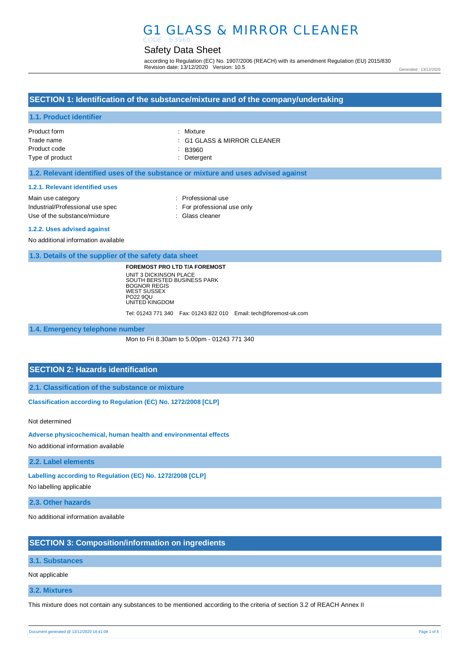## G1 GLASS & MIRROR CLEANER CODE : B3960

# Safety Data Sheet

according to Regulation (EC) No. 1907/2006 (REACH) with its amendment Regulation (EU) 2015/830 Revision date: 13/12/2020 Version: 10.5

Generated : 13/12/2020

## **SECTION 1: Identification of the substance/mixture and of the company/undertaking**

## **1.1. Product identifier**

| Product form    | : Mixture                              |
|-----------------|----------------------------------------|
| Trade name      | $\therefore$ G1 GLASS & MIRROR CLEANER |
| Product code    | $\therefore$ B3960                     |
| Type of product | : Detergent                            |

## **1.2. Relevant identified uses of the substance or mixture and uses advised against**

#### **1.2.1. Relevant identified uses**

| Main use category                | : Professional use          |
|----------------------------------|-----------------------------|
| Industrial/Professional use spec | : For professional use only |
| Use of the substance/mixture     | : Glass cleaner             |

#### **1.2.2. Uses advised against**

No additional information available

**1.3. Details of the supplier of the safety data sheet**

**FOREMOST PRO LTD T/A FOREMOST** UNIT 3 DICKINSON PLACE SOUTH BERSTED BUSINESS PARK BOGNOR REGIS WEST SUSSEX PO22 9QU UNITED KINGDOM

Tel: 01243 771 340 Fax: 01243 822 010 Email: tech@foremost-uk.com

**1.4. Emergency telephone number**

Mon to Fri 8.30am to 5.00pm - 01243 771 340

## **SECTION 2: Hazards identification**

**2.1. Classification of the substance or mixture**

**Classification according to Regulation (EC) No. 1272/2008 [CLP]** 

Not determined

**Adverse physicochemical, human health and environmental effects** 

No additional information available

**2.2. Label elements**

**Labelling according to Regulation (EC) No. 1272/2008 [CLP]** 

No labelling applicable

**2.3. Other hazards**

No additional information available

## **SECTION 3: Composition/information on ingredients**

#### **3.1. Substances**

Not applicable

**3.2. Mixtures**

This mixture does not contain any substances to be mentioned according to the criteria of section 3.2 of REACH Annex II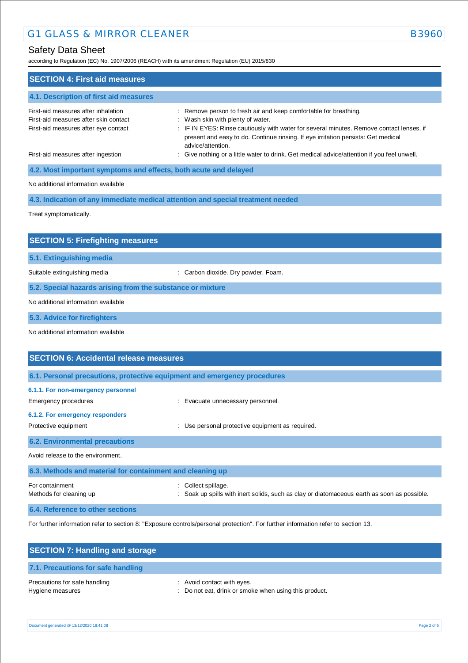according to Regulation (EC) No. 1907/2006 (REACH) with its amendment Regulation (EU) 2015/830

| <b>SECTION 4: First aid measures</b>                                                                                 |                                                                                                                                                                                                                                                                                                             |
|----------------------------------------------------------------------------------------------------------------------|-------------------------------------------------------------------------------------------------------------------------------------------------------------------------------------------------------------------------------------------------------------------------------------------------------------|
| 4.1. Description of first aid measures                                                                               |                                                                                                                                                                                                                                                                                                             |
| First-aid measures after inhalation<br>First-aid measures after skin contact<br>First-aid measures after eye contact | : Remove person to fresh air and keep comfortable for breathing.<br>: Wash skin with plenty of water.<br>: IF IN EYES: Rinse cautiously with water for several minutes. Remove contact lenses, if<br>present and easy to do. Continue rinsing. If eye irritation persists: Get medical<br>advice/attention. |
| First-aid measures after ingestion                                                                                   | : Give nothing or a little water to drink. Get medical advice/attention if you feel unwell.                                                                                                                                                                                                                 |
| 4.2. Most important symptoms and effects, both acute and delayed                                                     |                                                                                                                                                                                                                                                                                                             |
| No additional information available                                                                                  |                                                                                                                                                                                                                                                                                                             |
|                                                                                                                      | 4.3. Indication of any immediate medical attention and special treatment needed                                                                                                                                                                                                                             |
| Treat symptomatically.                                                                                               |                                                                                                                                                                                                                                                                                                             |
|                                                                                                                      |                                                                                                                                                                                                                                                                                                             |
| <b>SECTION 5: Firefighting measures</b>                                                                              |                                                                                                                                                                                                                                                                                                             |
| 5.1. Extinguishing media                                                                                             |                                                                                                                                                                                                                                                                                                             |
| Suitable extinguishing media                                                                                         | : Carbon dioxide. Dry powder. Foam.                                                                                                                                                                                                                                                                         |
| 5.2. Special hazards arising from the substance or mixture                                                           |                                                                                                                                                                                                                                                                                                             |
| No additional information available                                                                                  |                                                                                                                                                                                                                                                                                                             |
| 5.3. Advice for firefighters                                                                                         |                                                                                                                                                                                                                                                                                                             |
| No additional information available                                                                                  |                                                                                                                                                                                                                                                                                                             |
|                                                                                                                      |                                                                                                                                                                                                                                                                                                             |
| <b>SECTION 6: Accidental release measures</b>                                                                        |                                                                                                                                                                                                                                                                                                             |
| 6.1. Personal precautions, protective equipment and emergency procedures                                             |                                                                                                                                                                                                                                                                                                             |
| 6.1.1. For non-emergency personnel                                                                                   |                                                                                                                                                                                                                                                                                                             |
| Emergency procedures                                                                                                 | Evacuate unnecessary personnel.                                                                                                                                                                                                                                                                             |

### **6.1.2. For emergency responders**

| Protective equipment                                      | : Use personal protective equipment as required.                                                                   |
|-----------------------------------------------------------|--------------------------------------------------------------------------------------------------------------------|
| <b>6.2. Environmental precautions</b>                     |                                                                                                                    |
| Avoid release to the environment.                         |                                                                                                                    |
| 6.3. Methods and material for containment and cleaning up |                                                                                                                    |
| For containment<br>Methods for cleaning up                | : Collect spillage.<br>: Soak up spills with inert solids, such as clay or diatomaceous earth as soon as possible. |

**6.4. Reference to other sections**

For further information refer to section 8: "Exposure controls/personal protection". For further information refer to section 13.

| <b>SECTION 7: Handling and storage</b>            |                                                                                     |
|---------------------------------------------------|-------------------------------------------------------------------------------------|
| 7.1. Precautions for safe handling                |                                                                                     |
| Precautions for safe handling<br>Hygiene measures | : Avoid contact with eyes.<br>: Do not eat, drink or smoke when using this product. |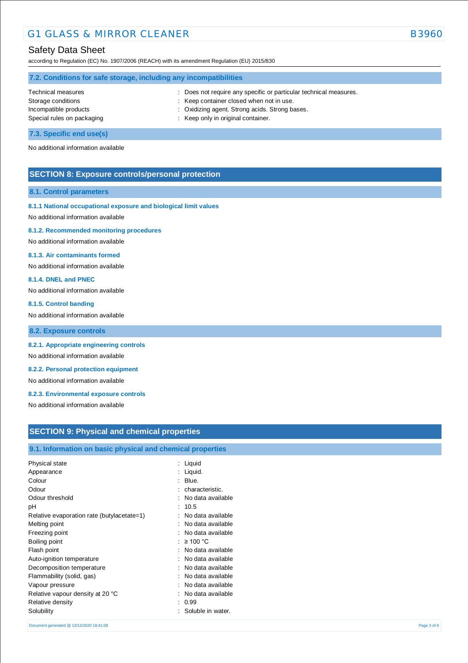## Safety Data Sheet

according to Regulation (EC) No. 1907/2006 (REACH) with its amendment Regulation (EU) 2015/830

| 7.2. Conditions for safe storage, including any incompatibilities |                                                                   |  |  |
|-------------------------------------------------------------------|-------------------------------------------------------------------|--|--|
| Technical measures                                                | : Does not require any specific or particular technical measures. |  |  |
| Storage conditions                                                | : Keep container closed when not in use.                          |  |  |
| Incompatible products                                             | : Oxidizing agent. Strong acids. Strong bases.                    |  |  |
| Special rules on packaging                                        | : Keep only in original container.                                |  |  |
|                                                                   |                                                                   |  |  |

**7.3. Specific end use(s)** No additional information available

## **SECTION 8: Exposure controls/personal protection**

#### **8.1. Control parameters**

## **8.1.1 National occupational exposure and biological limit values**

No additional information available

#### **8.1.2. Recommended monitoring procedures**

No additional information available

### **8.1.3. Air contaminants formed**

No additional information available

#### **8.1.4. DNEL and PNEC**

No additional information available

#### **8.1.5. Control banding**

No additional information available

**8.2. Exposure controls**

### **8.2.1. Appropriate engineering controls**

No additional information available

## **8.2.2. Personal protection equipment**

No additional information available

## **8.2.3. Environmental exposure controls**

No additional information available

## **SECTION 9: Physical and chemical properties**

## **9.1. Information on basic physical and chemical properties**

| Physical state<br>Appearance<br>Colour<br>Odour<br>Odour threshold<br>рH<br>Relative evaporation rate (butylacetate=1)<br>Melting point<br>Freezing point<br>Boiling point<br>Flash point<br>Auto-ignition temperature<br>Decomposition temperature<br>Flammability (solid, gas)<br>Vapour pressure<br>Relative vapour density at 20 °C<br>Relative density | : Liquid<br>Liquid.<br>Blue.<br>characteristic.<br>No data available<br>10.5<br>No data available<br>No data available<br>No data available<br>≥ 100 °C<br>No data available<br>No data available<br>No data available<br>No data available<br>No data available<br>No data available<br>0.99 |
|-------------------------------------------------------------------------------------------------------------------------------------------------------------------------------------------------------------------------------------------------------------------------------------------------------------------------------------------------------------|-----------------------------------------------------------------------------------------------------------------------------------------------------------------------------------------------------------------------------------------------------------------------------------------------|
|                                                                                                                                                                                                                                                                                                                                                             |                                                                                                                                                                                                                                                                                               |
| Solubility                                                                                                                                                                                                                                                                                                                                                  | Soluble in water.                                                                                                                                                                                                                                                                             |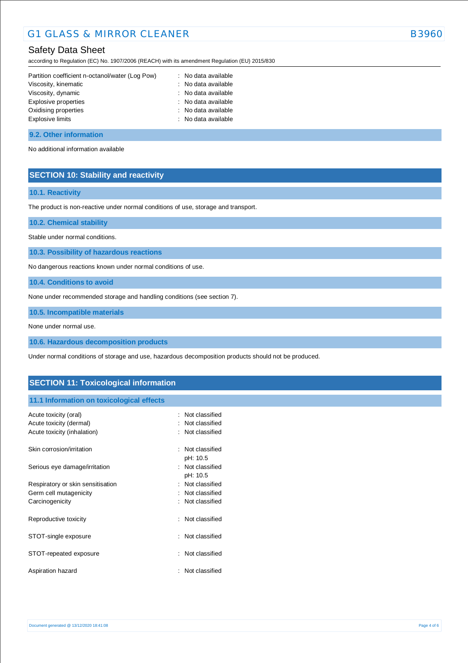## Safety Data Sheet

according to Regulation (EC) No. 1907/2006 (REACH) with its amendment Regulation (EU) 2015/830

| Partition coefficient n-octanol/water (Log Pow) | : No data available |
|-------------------------------------------------|---------------------|
| Viscosity, kinematic                            | : No data available |
| Viscosity, dynamic                              | : No data available |
| Explosive properties                            | : No data available |
| Oxidising properties                            | : No data available |
| Explosive limits                                | : No data available |
|                                                 |                     |

### **9.2. Other information**

No additional information available

## **SECTION 10: Stability and reactivity**

## **10.1. Reactivity**

The product is non-reactive under normal conditions of use, storage and transport.

**10.2. Chemical stability**

Stable under normal conditions.

**10.3. Possibility of hazardous reactions**

No dangerous reactions known under normal conditions of use.

**10.4. Conditions to avoid**

None under recommended storage and handling conditions (see section 7).

**10.5. Incompatible materials**

None under normal use.

**10.6. Hazardous decomposition products**

Under normal conditions of storage and use, hazardous decomposition products should not be produced.

## **SECTION 11: Toxicological information**

## **11.1 Information on toxicological effects**

| Acute toxicity (oral)<br>Acute toxicity (dermal)<br>Acute toxicity (inhalation) |   | : Not classified<br>: Not classified<br>: Not classified |
|---------------------------------------------------------------------------------|---|----------------------------------------------------------|
| Skin corrosion/irritation                                                       |   | Not classified<br>pH: 10.5                               |
| Serious eye damage/irritation                                                   |   | : Not classified<br>pH: 10.5                             |
| Respiratory or skin sensitisation                                               |   | Not classified                                           |
| Germ cell mutagenicity                                                          |   | Not classified                                           |
| Carcinogenicity                                                                 |   | : Not classified                                         |
| Reproductive toxicity                                                           |   | : Not classified                                         |
| STOT-single exposure                                                            |   | : Not classified                                         |
| STOT-repeated exposure                                                          | ÷ | Not classified                                           |
| Aspiration hazard                                                               |   | Not classified                                           |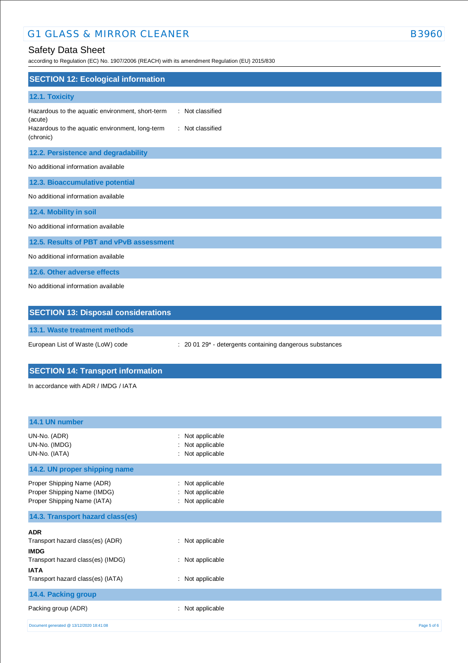# G1 GLASS & MIRROR CLEANER B3960

# Safety Data Sheet

according to Regulation (EC) No. 1907/2006 (REACH) with its amendment Regulation (EU) 2015/830

| <b>SECTION 12: Ecological information</b>                                                                                                                           |
|---------------------------------------------------------------------------------------------------------------------------------------------------------------------|
| 12.1. Toxicity                                                                                                                                                      |
| : Not classified<br>Hazardous to the aquatic environment, short-term<br>(acute)<br>Hazardous to the aquatic environment, long-term<br>: Not classified<br>(chronic) |
| 12.2. Persistence and degradability                                                                                                                                 |
| No additional information available                                                                                                                                 |
| 12.3. Bioaccumulative potential                                                                                                                                     |
| No additional information available                                                                                                                                 |
| 12.4. Mobility in soil                                                                                                                                              |
| No additional information available                                                                                                                                 |
| 12.5. Results of PBT and vPvB assessment                                                                                                                            |
| No additional information available                                                                                                                                 |
| 12.6. Other adverse effects                                                                                                                                         |
| No additional information available                                                                                                                                 |
| <b>SECTION 13: Disposal considerations</b>                                                                                                                          |

**13.1. Waste treatment methods**

European List of Waste (LoW) code : 20 01 29\* - detergents containing dangerous substances

# **SECTION 14: Transport information**

In accordance with ADR / IMDG / IATA

| 14.1 UN number                                                                           |                                                          |             |
|------------------------------------------------------------------------------------------|----------------------------------------------------------|-------------|
| UN-No. (ADR)<br>UN-No. (IMDG)<br>UN-No. (IATA)                                           | : Not applicable<br>Not applicable<br>: Not applicable   |             |
| 14.2. UN proper shipping name                                                            |                                                          |             |
| Proper Shipping Name (ADR)<br>Proper Shipping Name (IMDG)<br>Proper Shipping Name (IATA) | : Not applicable<br>: Not applicable<br>: Not applicable |             |
| 14.3. Transport hazard class(es)                                                         |                                                          |             |
| <b>ADR</b>                                                                               |                                                          |             |
| Transport hazard class(es) (ADR)<br><b>IMDG</b>                                          | : Not applicable                                         |             |
| Transport hazard class(es) (IMDG)<br><b>IATA</b>                                         | : Not applicable                                         |             |
| Transport hazard class(es) (IATA)                                                        | : Not applicable                                         |             |
| 14.4. Packing group                                                                      |                                                          |             |
| Packing group (ADR)                                                                      | Not applicable<br>÷                                      |             |
| Document generated @ 13/12/2020 18:41:08                                                 |                                                          | Page 5 of 6 |